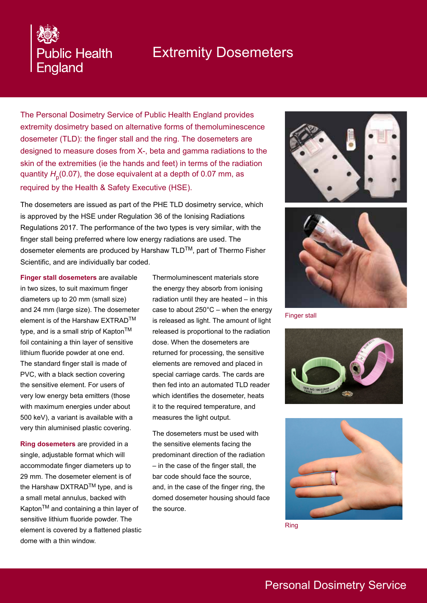# Extremity Dosemeters

The Personal Dosimetry Service of Public Health England provides extremity dosimetry based on alternative forms of themoluminescence dosemeter (TLD): the finger stall and the ring. The dosemeters are designed to measure doses from X-, beta and gamma radiations to the skin of the extremities (ie the hands and feet) in terms of the radiation quantity  $H_{\sf p}^{}(0.07)$ , the dose equivalent at a depth of 0.07 mm, as required by the Health & Safety Executive (HSE).

The dosemeters are issued as part of the PHE TLD dosimetry service, which is approved by the HSE under Regulation 36 of the Ionising Radiations Regulations 2017. The performance of the two types is very similar, with the finger stall being preferred where low energy radiations are used. The dosemeter elements are produced by Harshaw TLD™, part of Thermo Fisher Scientific, and are individually bar coded.

**Finger stall dosemeters** are available in two sizes, to suit maximum finger diameters up to 20 mm (small size) and 24 mm (large size). The dosemeter element is of the Harshaw EXTRADTM type, and is a small strip of Kapton<sup>TM</sup> foil containing a thin layer of sensitive lithium fluoride powder at one end. The standard finger stall is made of PVC, with a black section covering the sensitive element. For users of very low energy beta emitters (those with maximum energies under about 500 keV), a variant is available with a very thin aluminised plastic covering.

**Public Health** 

England

**Ring dosemeters** are provided in a single, adjustable format which will accommodate finger diameters up to 29 mm. The dosemeter element is of the Harshaw DXTRAD™ type, and is a small metal annulus, backed with Kapton<sup>™</sup> and containing a thin layer of sensitive lithium fluoride powder. The element is covered by a flattened plastic dome with a thin window.

Thermoluminescent materials store the energy they absorb from ionising radiation until they are heated – in this case to about  $250^{\circ}$ C – when the energy is released as light. The amount of light released is proportional to the radiation dose. When the dosemeters are returned for processing, the sensitive elements are removed and placed in special carriage cards. The cards are then fed into an automated TLD reader which identifies the dosemeter, heats it to the required temperature, and measures the light output.

The dosemeters must be used with the sensitive elements facing the predominant direction of the radiation – in the case of the finger stall, the bar code should face the source, and, in the case of the finger ring, the domed dosemeter housing should face the source.





Finger stall





Ring